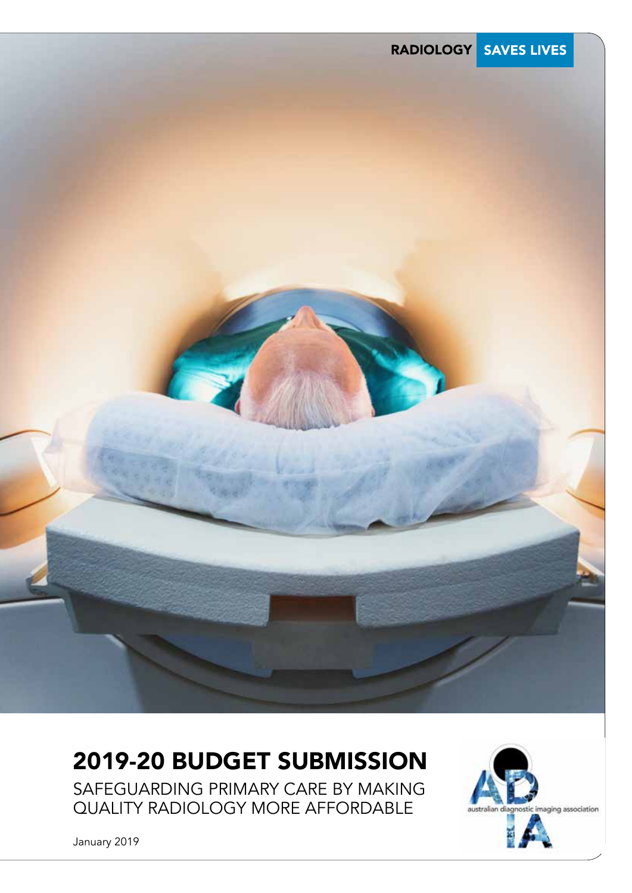

## 2019-20 BUDGET SUBMISSION

SAFEGUARDING PRIMARY CARE BY MAKING QUALITY RADIOLOGY MORE AFFORDABLE



January 2019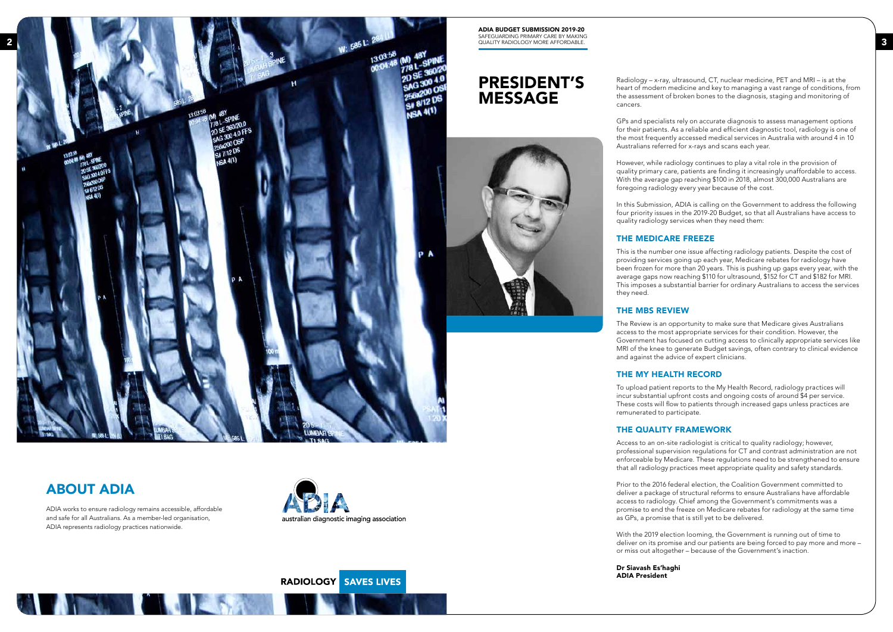ADIA BUDGET SUBMISSION 2019-20 SAFEGUARDING PRIMARY CARE BY MAKING QUALITY RADIOLOGY MORE AFFORDABLE.



**All Elvis** 

## ABOUT ADIA

**The Contract of Contract of Contract of Contract of Contract of Contract of Contract of Contract of Contract o** 

ADIA works to ensure radiology remains accessible, affordable and safe for all Australians. As a member-led organisation, ADIA represents radiology practices nationwide.



RADIOLOGY SAVES LIVES

## PRESIDENT'S MESSAGE



Radiology – x-ray, ultrasound, CT, nuclear medicine, PET and MRI – is at the heart of modern medicine and key to managing a vast range of conditions, from the assessment of broken bones to the diagnosis, staging and monitoring of cancers.

GPs and specialists rely on accurate diagnosis to assess management options for their patients. As a reliable and efficient diagnostic tool, radiology is one of the most frequently accessed medical services in Australia with around 4 in 10 Australians referred for x-rays and scans each year.

However, while radiology continues to play a vital role in the provision of quality primary care, patients are finding it increasingly unaffordable to access. With the average gap reaching \$100 in 2018, almost 300,000 Australians are foregoing radiology every year because of the cost.

In this Submission, ADIA is calling on the Government to address the following four priority issues in the 2019-20 Budget, so that all Australians have access to quality radiology services when they need them:

## THE MEDICARE FREEZE

This is the number one issue affecting radiology patients. Despite the cost of providing services going up each year, Medicare rebates for radiology have been frozen for more than 20 years. This is pushing up gaps every year, with the average gaps now reaching \$110 for ultrasound, \$152 for CT and \$182 for MRI. This imposes a substantial barrier for ordinary Australians to access the services

they need.

## THE MBS REVIEW

The Review is an opportunity to make sure that Medicare gives Australians access to the most appropriate services for their condition. However, the Government has focused on cutting access to clinically appropriate services like MRI of the knee to generate Budget savings, often contrary to clinical evidence and against the advice of expert clinicians.

## THE MY HEALTH RECORD

To upload patient reports to the My Health Record, radiology practices will incur substantial upfront costs and ongoing costs of around \$4 per service. These costs will flow to patients through increased gaps unless practices are remunerated to participate.

## THE QUALITY FRAMEWORK

Access to an on-site radiologist is critical to quality radiology; however, professional supervision regulations for CT and contrast administration are not enforceable by Medicare. These regulations need to be strengthened to ensure that all radiology practices meet appropriate quality and safety standards.

Prior to the 2016 federal election, the Coalition Government committed to deliver a package of structural reforms to ensure Australians have affordable access to radiology. Chief among the Government's commitments was a promise to end the freeze on Medicare rebates for radiology at the same time as GPs, a promise that is still yet to be delivered.

With the 2019 election looming, the Government is running out of time to deliver on its promise and our patients are being forced to pay more and more – or miss out altogether – because of the Government's inaction.

Dr Siavash Es'haghi ADIA President

2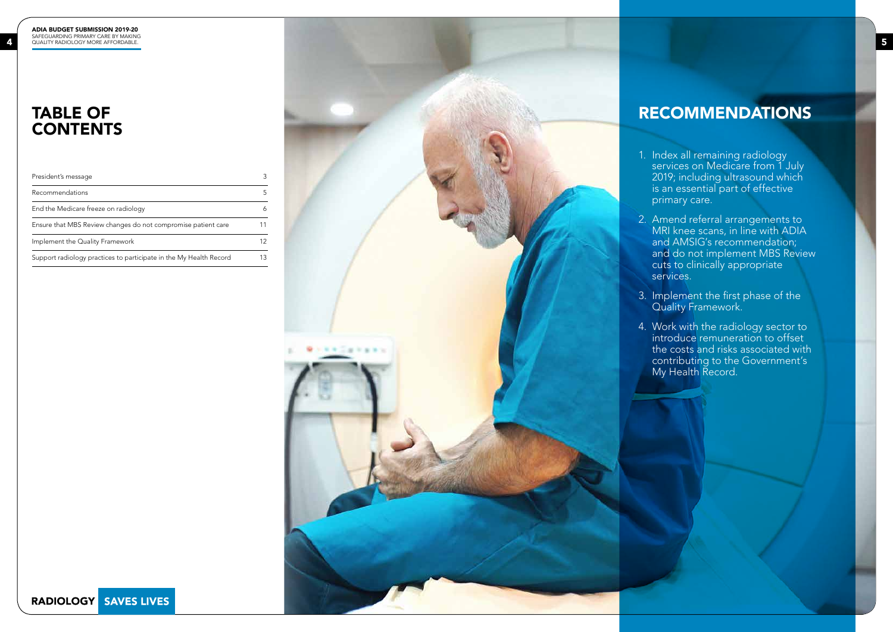## TABLE OF **CONTENTS**



| President's message                                                | 3  |
|--------------------------------------------------------------------|----|
| Recommendations                                                    | 5  |
| End the Medicare freeze on radiology                               | 6  |
| Ensure that MBS Review changes do not compromise patient care      | 11 |
| Implement the Quality Framework                                    | 12 |
| Support radiology practices to participate in the My Health Record | 13 |
|                                                                    |    |

## RECOMMENDATIONS

1. Index all remaining radiology services on Medicare from 1 July 2019; including ultrasound which is an essential part of effective primary care.

2. Amend referral arrangements to MRI knee scans, in line with ADIA and AMSIG's recommendation; and do not implement MBS Review cuts to clinically appropriate services.

3. Implement the first phase of the Quality Framework.

4. Work with the radiology sector to introduce remuneration to offset the costs and risks associated with contributing to the Government's My Health Record.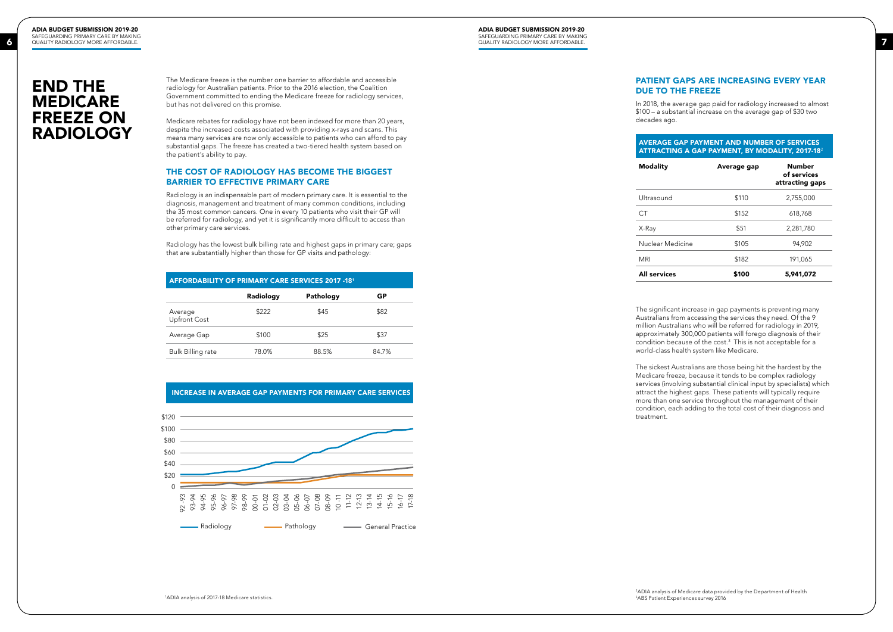ADIA BUDGET SUBMISSION 2019-20 SAFEGUARDING PRIMARY CARE BY MAKING QUALITY RADIOLOGY MORE AFFORDABLE. OUALITY RADIOLOGY MORE AFFORDABLE.

> The Medicare freeze is the number one barrier to affordable and accessible radiology for Australian patients. Prior to the 2016 election, the Coalition Government committed to ending the Medicare freeze for radiology services, but has not delivered on this promise.

Medicare rebates for radiology have not been indexed for more than 20 years, despite the increased costs associated with providing x-rays and scans. This means many services are now only accessible to patients who can afford to pay substantial gaps. The freeze has created a two-tiered health system based on the patient's ability to pay.

### THE COST OF RADIOLOGY HAS BECOME THE BIGGEST BARRIER TO EFFECTIVE PRIMARY CARE

Radiology is an indispensable part of modern primary care. It is essential to the diagnosis, management and treatment of many common conditions, including the 35 most common cancers. One in every 10 patients who visit their GP will be referred for radiology, and yet it is significantly more difficult to access than other primary care services.

Radiology has the lowest bulk billing rate and highest gaps in primary care; gaps that are substantially higher than those for GP visits and pathology:

## END THE MEDICARE FREEZE ON RADIOLOGY

## PATIENT GAPS ARE INCREASING EVERY YEAR DUE TO THE FREEZE

| <b>GAP PAYMENT AND NUMBER OF SERVICES</b><br>IG A GAP PAYMENT. BY MODALITY. 2017-18 $^{\rm 2}$ |               |
|------------------------------------------------------------------------------------------------|---------------|
| Average gap                                                                                    | <b>Number</b> |

In 2018, the average gap paid for radiology increased to almost \$100 – a substantial increase on the average gap of \$30 two decades ago.

### **AVERAGE ATTRACTII**

**Modality** 

|                     |       | of services<br>attracting gaps |
|---------------------|-------|--------------------------------|
| Ultrasound          | \$110 | 2,755,000                      |
| CT.                 | \$152 | 618,768                        |
| X-Ray               | \$51  | 2,281,780                      |
| Nuclear Medicine    | \$105 | 94,902                         |
| <b>MRI</b>          | \$182 | 191,065                        |
| <b>All services</b> | \$100 | 5,941,072                      |

The significant increase in gap payments is preventing many Australians from accessing the services they need. Of the 9 million Australians who will be referred for radiology in 2019, approximately 300,000 patients will forego diagnosis of their condition because of the cost.3 This is not acceptable for a world-class health system like Medicare.

The sickest Australians are those being hit the hardest by the Medicare freeze, because it tends to be complex radiology services (involving substantial clinical input by specialists) which attract the highest gaps. These patients will typically require more than one service throughout the management of their condition, each adding to the total cost of their diagnosis and





| AFFORDABILITY OF PRIMARY CARE SERVICES 2017 -181 |           |           |       |  |  |  |
|--------------------------------------------------|-----------|-----------|-------|--|--|--|
|                                                  | Radiology | Pathology | GР    |  |  |  |
| Average<br><b>Upfront Cost</b>                   | \$222     | \$45      | \$82  |  |  |  |
| Average Gap                                      | \$100     | \$25      | \$37  |  |  |  |
| <b>Bulk Billing rate</b>                         | 78.0%     | 88.5%     | 84.7% |  |  |  |

2ADIA analysis of Medicare data provided by the Department of Health 3 ABS Patient Experiences survey 2016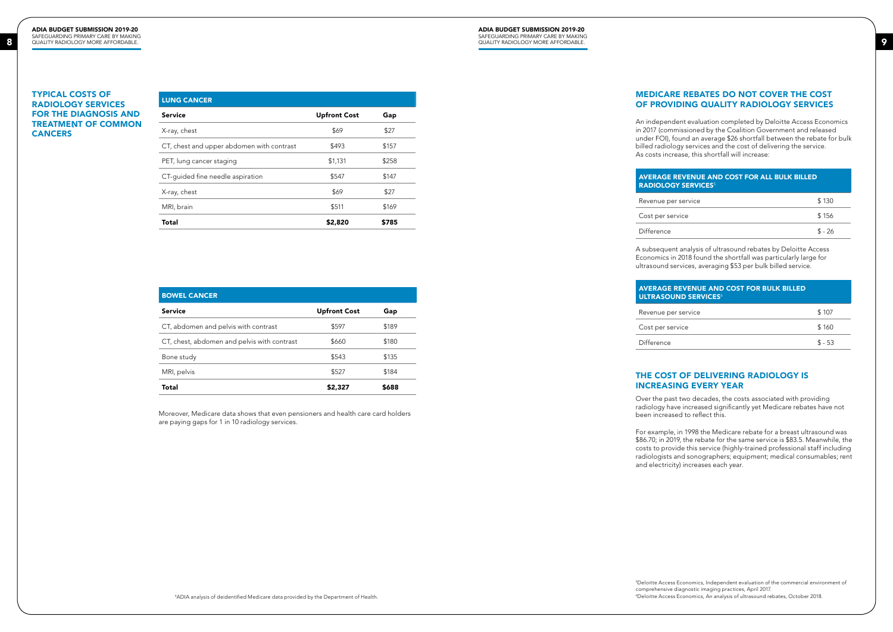#### ADIA BUDGET SUBMISSION 2019-20 SAFEGUARDING PRIMARY CARE BY MAKING QUALITY RADIOLOGY MORE AFFORDABLE.

#### ADIA BUDGET SUBMISSION 2019-20 SAFEGUARDING PRIMARY CARE BY MAKING QUALITY RADIOLOGY MORE AFFORDABLE. QUALITY RADIOLOGY MORE AFFORDABLE.

## MEDICARE REBATES DO NOT COVER THE COST OF PROVIDING QUALITY RADIOLOGY SERVICES

## AVERAGE REVENUE AND COST FOR ALL BULK BILLED RADIOLOGY SERVICES<sup>5</sup>

| r service: | \$130    |
|------------|----------|
| rvice      | \$156    |
|            | $$ - 26$ |

An independent evaluation completed by Deloitte Access Economics in 2017 (commissioned by the Coalition Government and released under FOI), found an average \$26 shortfall between the rebate for bulk billed radiology services and the cost of delivering the service. As costs increase, this shortfall will increase:

Revenue pe

Cost per ser

Difference

Cost per ser

Difference

## AVERAGE REVENUE AND COST FOR BULK BILLED **ULTRASOUND SERVICES<sup>6</sup>** Revenue per service \$107

| vice | \$160   |
|------|---------|
|      | $$ -53$ |
|      |         |

A subsequent analysis of ultrasound rebates by Deloitte Access Economics in 2018 found the shortfall was particularly large for ultrasound services, averaging \$53 per bulk billed service.

## TYPICAL COSTS OF RADIOLOGY SERVICES FOR THE DIAGNOSIS AND TREATMENT OF COMMON **CANCERS**

## THE COST OF DELIVERING RADIOLOGY IS INCREASING EVERY YEAR

Over the past two decades, the costs associated with providing radiology have increased significantly yet Medicare rebates have not been increased to reflect this.

For example, in 1998 the Medicare rebate for a breast ultrasound was \$86.70; in 2019, the rebate for the same service is \$83.5. Meanwhile, the costs to provide this service (highly-trained professional staff including radiologists and sonographers; equipment; medical consumables; rent and electricity) increases each year.

| <b>Upfront Cost</b> | Gap   |
|---------------------|-------|
| \$69                | \$27  |
| \$493               | \$157 |
| \$1,131             | \$258 |
| \$547               | \$147 |
| \$69                | \$27  |
| \$511               | \$169 |
| \$2,820             | \$785 |
|                     |       |

| <b>BOWEL CANCER</b>                         |                     |       |  |
|---------------------------------------------|---------------------|-------|--|
| Service                                     | <b>Upfront Cost</b> | Gap   |  |
| CT, abdomen and pelvis with contrast        | \$597               | \$189 |  |
| CT, chest, abdomen and pelvis with contrast | \$660               | \$180 |  |
| Bone study                                  | \$543               | \$135 |  |
| MRI, pelvis                                 | \$527               | \$184 |  |
| Total                                       | \$2,327             | \$688 |  |

4 ADIA analysis of deidentified Medicare data provided by the Department of Health.

Moreover, Medicare data shows that even pensioners and health care card holders are paying gaps for 1 in 10 radiology services.

> 5 Deloitte Access Economics, Independent evaluation of the commercial environment of comprehensive diagnostic imaging practices, April 2017.

6 Deloitte Access Economics, An analysis of ultrasound rebates, October 2018.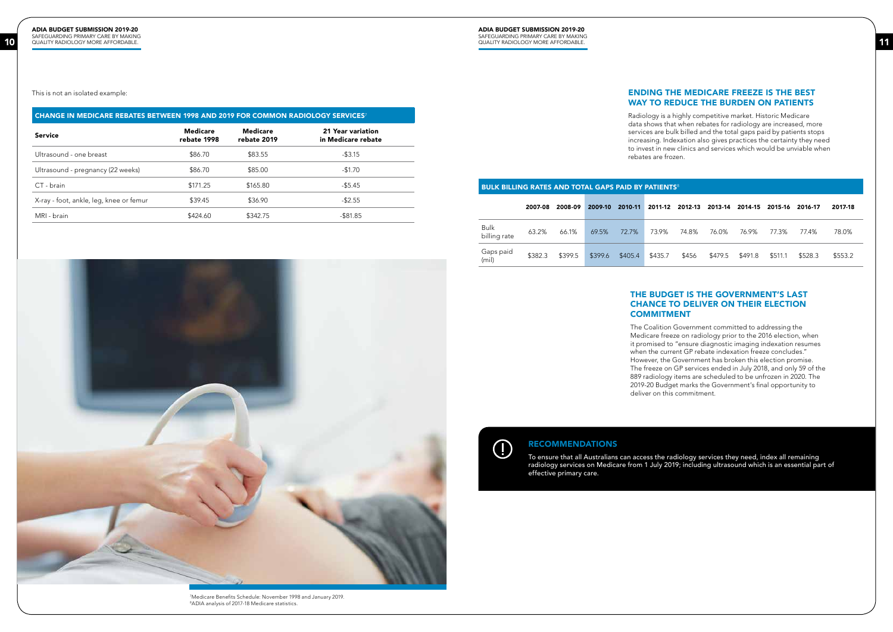This is not an isolated example:

| <b>CHANGE IN MEDICARE REBATES BETWEEN 1998 AND 2019 FOR COMMON RADIOLOGY SERVICES</b> |                                |                         |                                         |  |  |  |  |
|---------------------------------------------------------------------------------------|--------------------------------|-------------------------|-----------------------------------------|--|--|--|--|
| <b>Service</b>                                                                        | <b>Medicare</b><br>rebate 1998 | Medicare<br>rebate 2019 | 21 Year variation<br>in Medicare rebate |  |  |  |  |
| Ultrasound - one breast                                                               | \$86.70                        | \$83.55                 | $-$ \$3.15                              |  |  |  |  |
| Ultrasound - pregnancy (22 weeks)                                                     | \$86.70                        | \$85.00                 | $-$1.70$                                |  |  |  |  |
| CT - brain                                                                            | \$171.25                       | \$165.80                | $-55.45$                                |  |  |  |  |
| X-ray - foot, ankle, leg, knee or femur                                               | \$39.45                        | \$36.90                 | $-$ \$2.55                              |  |  |  |  |
| MRI - brain                                                                           | \$424.60                       | \$342.75                | $-$ \$81.85                             |  |  |  |  |



## RECOMMENDATIONS

To ensure that all Australians can access the radiology services they need, index all remaining radiology services on Medicare from 1 July 2019; including ultrasound which is an essential part of effective primary care.

7 Medicare Benefits Schedule: November 1998 and January 2019. 8 ADIA analysis of 2017-18 Medicare statistics.

| BULK BILLING RATES AND TOTAL GAPS PAID BY PATIENTS <sup>8</sup> |         |         |         |         |         |         |         |         |         |         |         |  |
|-----------------------------------------------------------------|---------|---------|---------|---------|---------|---------|---------|---------|---------|---------|---------|--|
|                                                                 | 2007-08 | 2008-09 | 2009-10 | 2010-11 | 2011-12 | 2012-13 | 2013-14 | 2014-15 | 2015-16 | 2016-17 | 2017-18 |  |
| <b>Bulk</b><br>billing rate                                     | 63.2%   | 66.1%   | 69.5%   | 72.7%   | 73.9%   | 74.8%   | 76.0%   | 76.9%   | 77.3%   | 77.4%   | 78.0%   |  |
| Gaps paid<br>(mil)                                              | \$382.3 | \$399.5 | \$399.6 | \$405.4 | \$435.7 | \$456   | \$479.5 | \$491.8 | \$511.1 | \$528.3 | \$553.2 |  |

# **COMMITMENT**

## ENDING THE MEDICARE FREEZE IS THE BEST WAY TO REDUCE THE BURDEN ON PATIENTS

Radiology is a highly competitive market. Historic Medicare data shows that when rebates for radiology are increased, more services are bulk billed and the total gaps paid by patients stops increasing. Indexation also gives practices the certainty they need to invest in new clinics and services which would be unviable when rebates are frozen.

## THE BUDGET IS THE GOVERNMENT'S LAST CHANCE TO DELIVER ON THEIR ELECTION

The Coalition Government committed to addressing the Medicare freeze on radiology prior to the 2016 election, when it promised to "ensure diagnostic imaging indexation resumes when the current GP rebate indexation freeze concludes." However, the Government has broken this election promise. The freeze on GP services ended in July 2018, and only 59 of the 889 radiology items are scheduled to be unfrozen in 2020. The 2019-20 Budget marks the Government's final opportunity to deliver on this commitment.

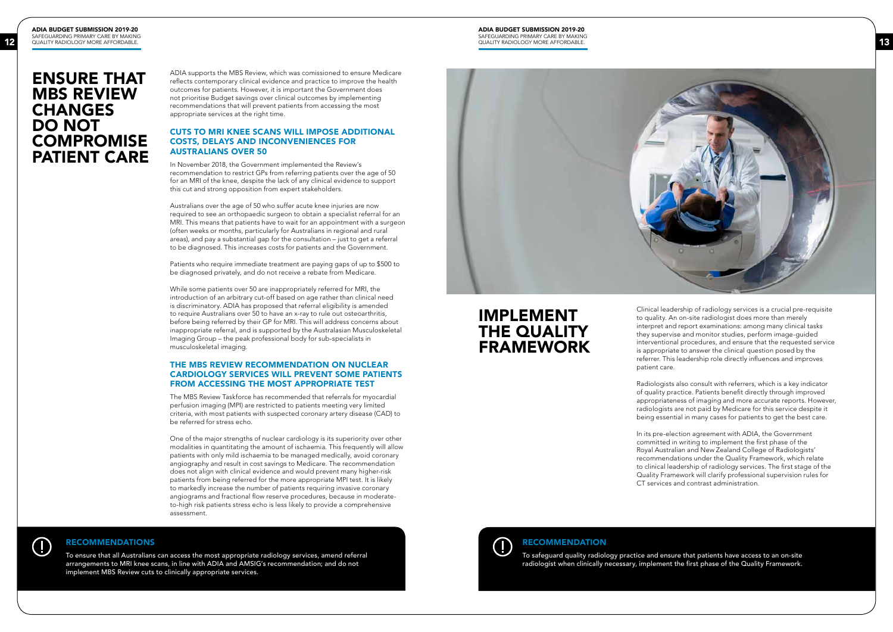ADIA BUDGET SUBMISSION 2019-20 SAFEGUARDING PRIMARY CARE BY MAKING QUALITY RADIOLOGY MORE AFFORDABLE.

> ADIA supports the MBS Review, which was comissioned to ensure Medicare reflects contemporary clinical evidence and practice to improve the health outcomes for patients. However, it is important the Government does not prioritise Budget savings over clinical outcomes by implementing recommendations that will prevent patients from accessing the most appropriate services at the right time.

## CUTS TO MRI KNEE SCANS WILL IMPOSE ADDITIONAL COSTS, DELAYS AND INCONVENIENCES FOR AUSTRALIANS OVER 50

In November 2018, the Government implemented the Review's recommendation to restrict GPs from referring patients over the age of 50 for an MRI of the knee, despite the lack of any clinical evidence to support this cut and strong opposition from expert stakeholders.

Australians over the age of 50 who suffer acute knee injuries are now required to see an orthopaedic surgeon to obtain a specialist referral for an MRI. This means that patients have to wait for an appointment with a surgeon (often weeks or months, particularly for Australians in regional and rural areas), and pay a substantial gap for the consultation – just to get a referral to be diagnosed. This increases costs for patients and the Government.

Patients who require immediate treatment are paying gaps of up to \$500 to be diagnosed privately, and do not receive a rebate from Medicare.

To ensure that all Australians can access the most appropriate radiology services, amend referral arrangements to MRI knee scans, in line with ADIA and AMSIG's recommendation; and do not implement MBS Review cuts to clinically appropriate services.

While some patients over 50 are inappropriately referred for MRI, the introduction of an arbitrary cut-off based on age rather than clinical need is discriminatory. ADIA has proposed that referral eligibility is amended to require Australians over 50 to have an x-ray to rule out osteoarthritis, before being referred by their GP for MRI. This will address concerns about inappropriate referral, and is supported by the Australasian Musculoskeletal Imaging Group – the peak professional body for sub-specialists in musculoskeletal imaging.

## THE MBS REVIEW RECOMMENDATION ON NUCLEAR CARDIOLOGY SERVICES WILL PREVENT SOME PATIENTS FROM ACCESSING THE MOST APPROPRIATE TEST

The MBS Review Taskforce has recommended that referrals for myocardial perfusion imaging (MPI) are restricted to patients meeting very limited criteria, with most patients with suspected coronary artery disease (CAD) to be referred for stress echo.

> To safeguard quality radiology practice and ensure that patients have access to an on-site radiologist when clinically necessary, implement the first phase of the Quality Framework.



One of the major strengths of nuclear cardiology is its superiority over other modalities in quantitating the amount of ischaemia. This frequently will allow patients with only mild ischaemia to be managed medically, avoid coronary angiography and result in cost savings to Medicare. The recommendation does not align with clinical evidence and would prevent many higher-risk patients from being referred for the more appropriate MPI test. It is likely to markedly increase the number of patients requiring invasive coronary angiograms and fractional flow reserve procedures, because in moderateto-high risk patients stress echo is less likely to provide a comprehensive assessment.

#### ADIA BUDGET SUBMISSION 2019-20 SAFEGUARDING PRIMARY CARE BY MAKING QUALITY RADIOLOGY MORE AFFORDABLE. QUALITY RADIOLOGY MORE AFFORDABLE.

## ENSURE THAT MBS REVIEW **CHANGES** DO NOT **COMPROMISE** PATIENT CARE

## RECOMMENDATIONS

 $\left(\right]$ 

Clinical leadership of radiology services is a crucial pre-requisite to quality. An on-site radiologist does more than merely interpret and report examinations: among many clinical tasks they supervise and monitor studies, perform image-guided interventional procedures, and ensure that the requested service is appropriate to answer the clinical question posed by the referrer. This leadership role directly influences and improves

patient care.

Radiologists also consult with referrers, which is a key indicator of quality practice. Patients benefit directly through improved appropriateness of imaging and more accurate reports. However, radiologists are not paid by Medicare for this service despite it being essential in many cases for patients to get the best care.



In its pre-election agreement with ADIA, the Government committed in writing to implement the first phase of the Royal Australian and New Zealand College of Radiologists' recommendations under the Quality Framework, which relate to clinical leadership of radiology services. The first stage of the Quality Framework will clarify professional supervision rules for CT services and contrast administration.

## IMPLEMENT THE QUALITY FRAMEWORK

## RECOMMENDATION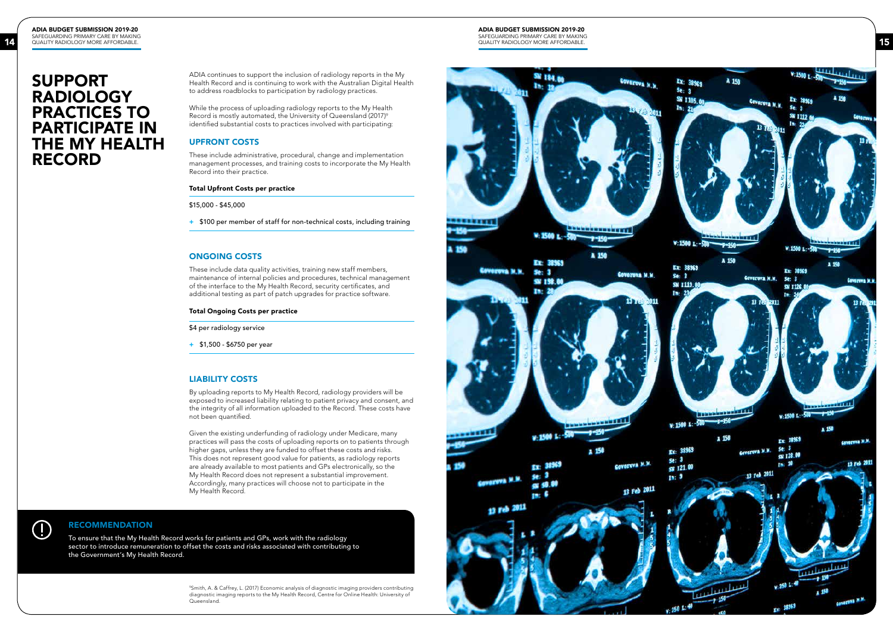#### ADIA BUDGET SUBMISSION 2019-20 SAFEGUARDING PRIMARY CARE BY MAKING

QUALITY RADIOLOGY MORE AFFORDABLE. QUALITY RADIOLOGY MORE AFFORDABLE.



ADIA continues to support the inclusion of radiology reports in the My Health Record and is continuing to work with the Australian Digital Health to address roadblocks to participation by radiology practices.

While the process of uploading radiology reports to the My Health Record is mostly automated, the University of Queensland (2017) 9 identified substantial costs to practices involved with participating:

## UPFRONT COSTS

These include administrative, procedural, change and implementation management processes, and training costs to incorporate the My Health Record into their practice.

### Total Upfront Costs per practice

\$15,000 - \$45,000

+ \$100 per member of staff for non-technical costs, including training

### ONGOING COSTS

These include data quality activities, training new staff members, maintenance of internal policies and procedures, technical management of the interface to the My Health Record, security certificates, and additional testing as part of patch upgrades for practice software.

#### Total Ongoing Costs per practice

\$4 per radiology service

+ \$1,500 - \$6750 per year

### LIABILITY COSTS

By uploading reports to My Health Record, radiology providers will be exposed to increased liability relating to patient privacy and consent, and the integrity of all information uploaded to the Record. These costs have not been quantified.

Given the existing underfunding of radiology under Medicare, many practices will pass the costs of uploading reports on to patients through higher gaps, unless they are funded to offset these costs and risks. This does not represent good value for patients, as radiology reports are already available to most patients and GPs electronically, so the My Health Record does not represent a substantial improvement. Accordingly, many practices will choose not to participate in the My Health Record.

## $\left(\Gamma\right)$

## SUPPORT RADIOLOGY PRACTICES TO PARTICIPATE IN THE MY HEALTH RECORD

### RECOMMENDATION

To ensure that the My Health Record works for patients and GPs, work with the radiology sector to introduce remuneration to offset the costs and risks associated with contributing to the Government's My Health Record.

> 9 Smith, A. & Caffrey, L. (2017) Economic analysis of diagnostic imaging providers contributing diagnostic imaging reports to the My Health Record, Centre for Online Health: University of Queensland.